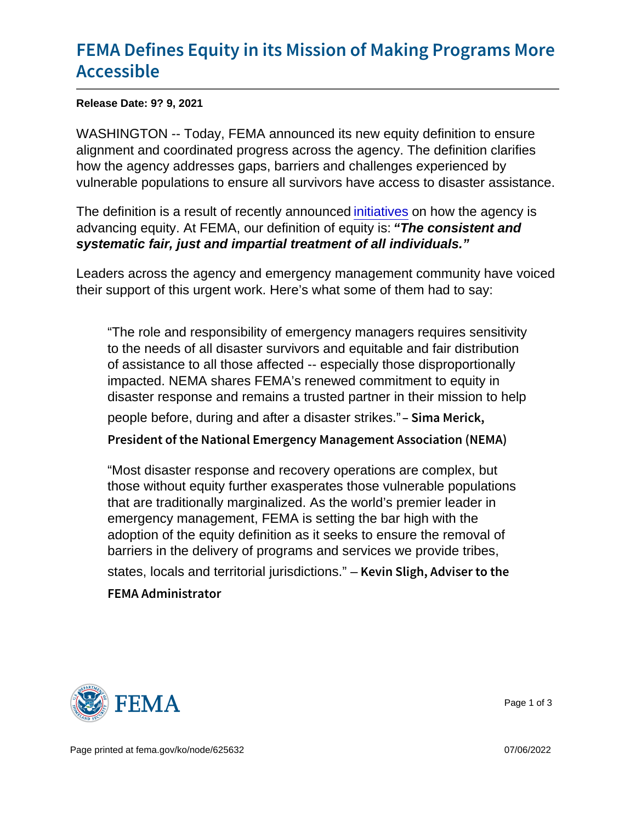## [FEMA Defines Equity in its Mission](https://www.fema.gov/press-release/20210909/fema-defines-equity-its-mission-making-programs-more-accessible) of Mal [Access](https://www.fema.gov/press-release/20210909/fema-defines-equity-its-mission-making-programs-more-accessible)ible

Release Date: 9? 9, 2021

WASHINGTON -- Today, FEMA announced its new equity definition to ensure alignment and coordinated progress across the agency. The definition clarifies how the agency addresses gaps, barriers and challenges experienced by vulnerable populations to ensure all survivors have access to disaster assistance.

The definition is a result of recently announced [initiatives](https://www.fema.gov/press-release/20210721/fema-announces-initial-initiatives-advance-equity) on how the agency is advancing equity. At FEMA, our definition of equity is: "The consistent and systematic fair, just and impartial treatment of all individuals."

Leaders across the agency and emergency management community have voiced their support of this urgent work. Here's what some of them had to say:

"The role and responsibility of emergency managers requires sensitivity to the needs of all disaster survivors and equitable and fair distribution of assistance to all those affected -- especially those disproportionally impacted. NEMA shares FEMA's renewed commitment to equity in disaster response and remains a trusted partner in their mission to help people before, during and after a disaster strikes." Sima Merick, President of the National Emergency Management Assoc

"Most disaster response and recovery operations are complex, but those without equity further exasperates those vulnerable populations that are traditionally marginalized. As the world's premier leader in emergency management, FEMA is setting the bar high with the adoption of the equity definition as it seeks to ensure the removal of barriers in the delivery of programs and services we provide tribes, states, locals and territorial jurisdictions." – Kevin Sligh, Adviser to the FEMA Administrator



Page 1 of 3

Page printed at [fema.gov/ko/node/625632](https://www.fema.gov/ko/node/625632) 07/06/2022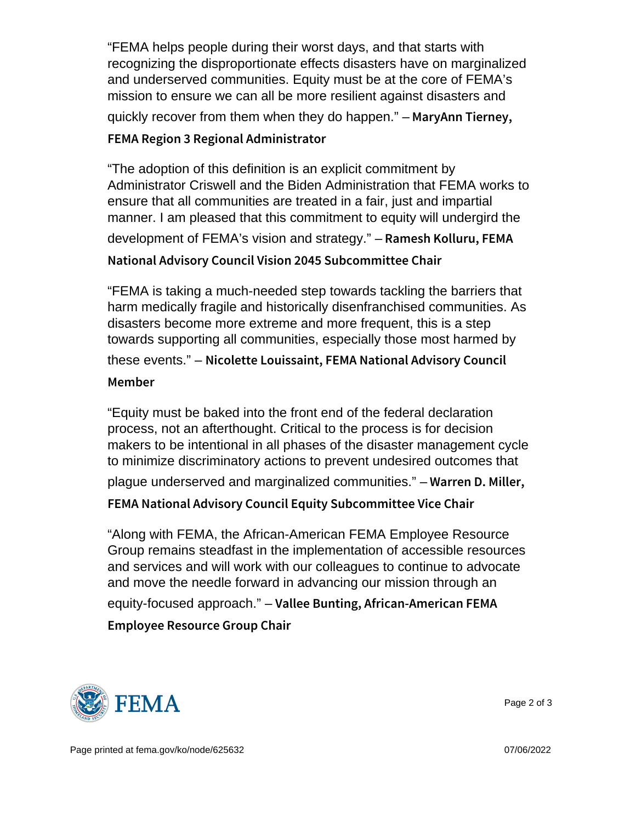"FEMA helps people during their worst days, and that starts with recognizing the disproportionate effects disasters have on marginalized and underserved communities. Equity must be at the core of FEMA's mission to ensure we can all be more resilient against disasters and quickly recover from them when they do happen."  $-$  M a r y A n n T i e r n e y, FEMA Region 3 Regional Administrator

```
"The adoption of this definition is an explicit commitment by
Administrator Criswell and the Biden Administration that FEMA works to
ensure that all communities are treated in a fair, just and impartial
manner. I am pleased that this commitment to equity will undergird the
development of FEMA's vision and strategy." – Ramesh Kolluru, FEMA
National Advisory Council Vision 2045 Subcommittee Ch
```
"FEMA is taking a much-needed step towards tackling the barriers that harm medically fragile and historically disenfranchised communities. As disasters become more extreme and more frequent, this is a step towards supporting all communities, especially those most harmed by these events." - Nicolette Louissaint, FEMA National Advisory Member

"Equity must be baked into the front end of the federal declaration process, not an afterthought. Critical to the process is for decision makers to be intentional in all phases of the disaster management cycle to minimize discriminatory actions to prevent undesired outcomes that

plague underserved and marginalized communities."  $-$  W a r r e n  $-$  D. Miller,

```
FEMA National Advisory Council Equity Subcommittee V
```
"Along with FEMA, the African-American FEMA Employee Resource Group remains steadfast in the implementation of accessible resources and services and will work with our colleagues to continue to advocate and move the needle forward in advancing our mission through an equity-focused approach." – Vallee Bunting, African-American FEMA Employee Resource Group Chair



Page 2 of 3

Page printed at [fema.gov/ko/node/625632](https://www.fema.gov/ko/node/625632) 07/06/2022